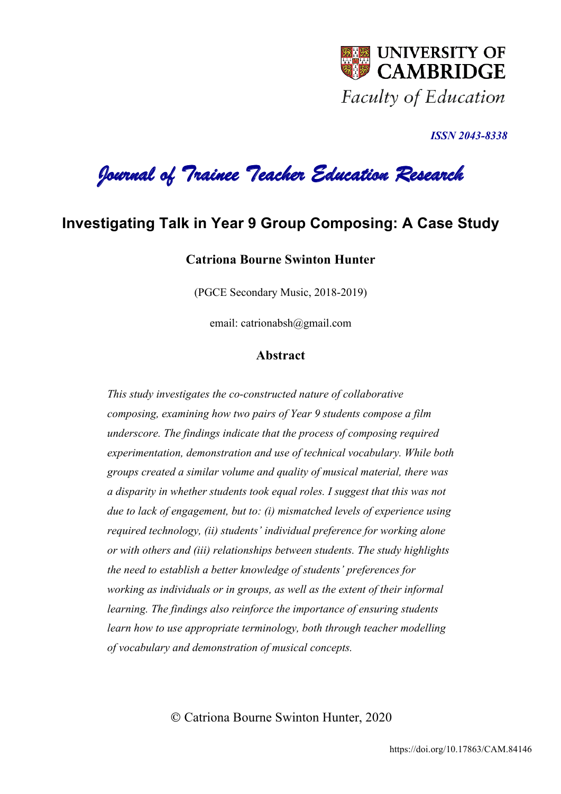

*ISSN 2043-8338* 

*Journal of Trainee Teacher Education Research* 

# **Investigating Talk in Year 9 Group Composing: A Case Study**

## **Catriona Bourne Swinton Hunter**

(PGCE Secondary Music, 2018-2019)

email: catrionabsh@gmail.com

## **Abstract**

*This study investigates the co-constructed nature of collaborative composing, examining how two pairs of Year 9 students compose a film underscore. The findings indicate that the process of composing required experimentation, demonstration and use of technical vocabulary. While both groups created a similar volume and quality of musical material, there was a disparity in whether students took equal roles. I suggest that this was not due to lack of engagement, but to: (i) mismatched levels of experience using required technology, (ii) students' individual preference for working alone or with others and (iii) relationships between students. The study highlights the need to establish a better knowledge of students' preferences for working as individuals or in groups, as well as the extent of their informal learning. The findings also reinforce the importance of ensuring students learn how to use appropriate terminology, both through teacher modelling of vocabulary and demonstration of musical concepts.* 

© Catriona Bourne Swinton Hunter, 2020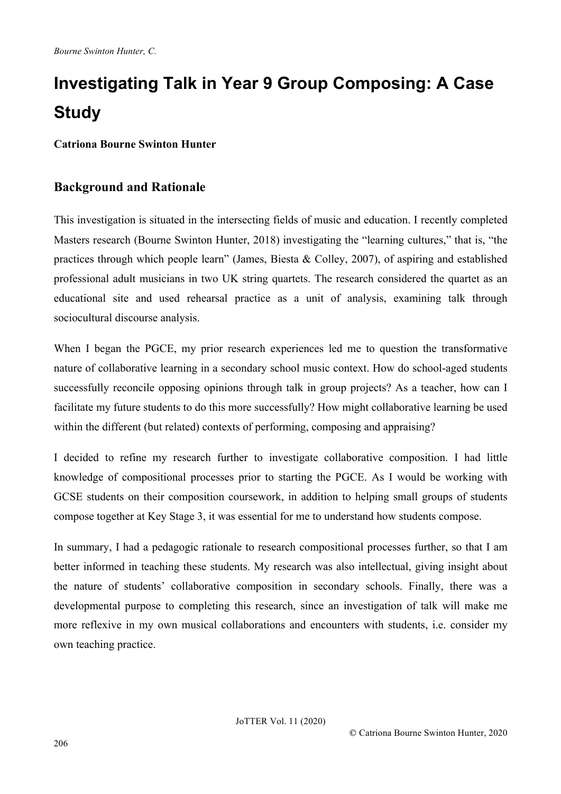# **Investigating Talk in Year 9 Group Composing: A Case Study**

**Catriona Bourne Swinton Hunter**

## **Background and Rationale**

This investigation is situated in the intersecting fields of music and education. I recently completed Masters research (Bourne Swinton Hunter, 2018) investigating the "learning cultures," that is, "the practices through which people learn" (James, Biesta & Colley, 2007), of aspiring and established professional adult musicians in two UK string quartets. The research considered the quartet as an educational site and used rehearsal practice as a unit of analysis, examining talk through sociocultural discourse analysis.

When I began the PGCE, my prior research experiences led me to question the transformative nature of collaborative learning in a secondary school music context. How do school-aged students successfully reconcile opposing opinions through talk in group projects? As a teacher, how can I facilitate my future students to do this more successfully? How might collaborative learning be used within the different (but related) contexts of performing, composing and appraising?

I decided to refine my research further to investigate collaborative composition. I had little knowledge of compositional processes prior to starting the PGCE. As I would be working with GCSE students on their composition coursework, in addition to helping small groups of students compose together at Key Stage 3, it was essential for me to understand how students compose.

In summary, I had a pedagogic rationale to research compositional processes further, so that I am better informed in teaching these students. My research was also intellectual, giving insight about the nature of students' collaborative composition in secondary schools. Finally, there was a developmental purpose to completing this research, since an investigation of talk will make me more reflexive in my own musical collaborations and encounters with students, i.e. consider my own teaching practice.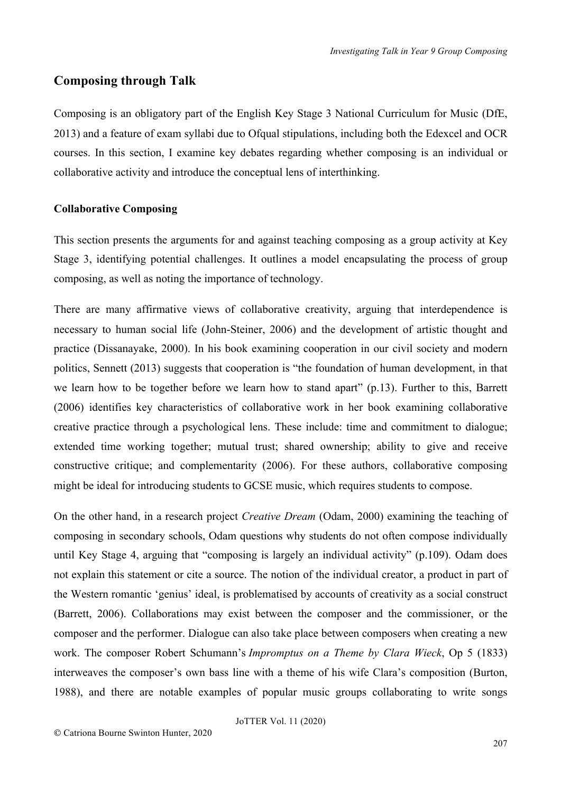## **Composing through Talk**

Composing is an obligatory part of the English Key Stage 3 National Curriculum for Music (DfE, 2013) and a feature of exam syllabi due to Ofqual stipulations, including both the Edexcel and OCR courses. In this section, I examine key debates regarding whether composing is an individual or collaborative activity and introduce the conceptual lens of interthinking.

## **Collaborative Composing**

This section presents the arguments for and against teaching composing as a group activity at Key Stage 3, identifying potential challenges. It outlines a model encapsulating the process of group composing, as well as noting the importance of technology.

There are many affirmative views of collaborative creativity, arguing that interdependence is necessary to human social life (John-Steiner, 2006) and the development of artistic thought and practice (Dissanayake, 2000). In his book examining cooperation in our civil society and modern politics, Sennett (2013) suggests that cooperation is "the foundation of human development, in that we learn how to be together before we learn how to stand apart" (p.13). Further to this, Barrett (2006) identifies key characteristics of collaborative work in her book examining collaborative creative practice through a psychological lens. These include: time and commitment to dialogue; extended time working together; mutual trust; shared ownership; ability to give and receive constructive critique; and complementarity (2006). For these authors, collaborative composing might be ideal for introducing students to GCSE music, which requires students to compose.

On the other hand, in a research project *Creative Dream* (Odam, 2000) examining the teaching of composing in secondary schools, Odam questions why students do not often compose individually until Key Stage 4, arguing that "composing is largely an individual activity" (p.109). Odam does not explain this statement or cite a source. The notion of the individual creator, a product in part of the Western romantic 'genius' ideal, is problematised by accounts of creativity as a social construct (Barrett, 2006). Collaborations may exist between the composer and the commissioner, or the composer and the performer. Dialogue can also take place between composers when creating a new work. The composer Robert Schumann's *Impromptus on a Theme by Clara Wieck*, Op 5 (1833) interweaves the composer's own bass line with a theme of his wife Clara's composition (Burton, 1988), and there are notable examples of popular music groups collaborating to write songs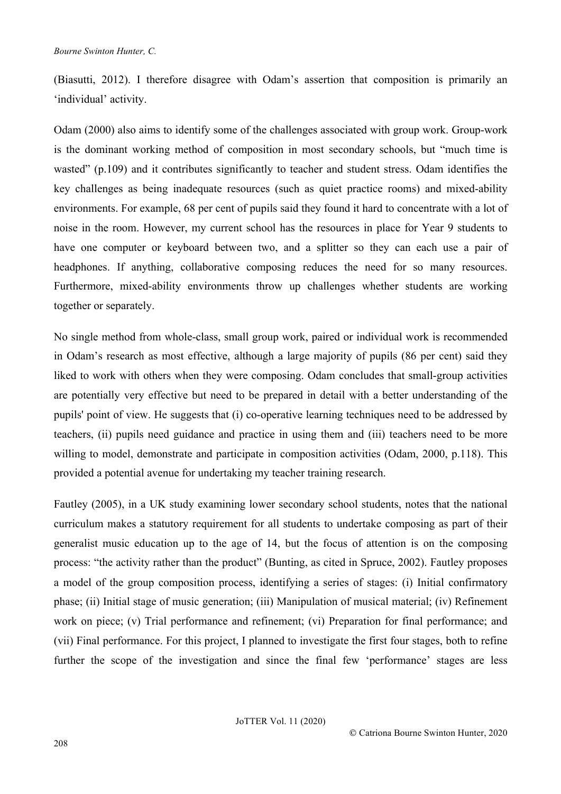(Biasutti, 2012). I therefore disagree with Odam's assertion that composition is primarily an 'individual' activity.

Odam (2000) also aims to identify some of the challenges associated with group work. Group-work is the dominant working method of composition in most secondary schools, but "much time is wasted" (p.109) and it contributes significantly to teacher and student stress. Odam identifies the key challenges as being inadequate resources (such as quiet practice rooms) and mixed-ability environments. For example, 68 per cent of pupils said they found it hard to concentrate with a lot of noise in the room. However, my current school has the resources in place for Year 9 students to have one computer or keyboard between two, and a splitter so they can each use a pair of headphones. If anything, collaborative composing reduces the need for so many resources. Furthermore, mixed-ability environments throw up challenges whether students are working together or separately.

No single method from whole-class, small group work, paired or individual work is recommended in Odam's research as most effective, although a large majority of pupils (86 per cent) said they liked to work with others when they were composing. Odam concludes that small-group activities are potentially very effective but need to be prepared in detail with a better understanding of the pupils' point of view. He suggests that (i) co-operative learning techniques need to be addressed by teachers, (ii) pupils need guidance and practice in using them and (iii) teachers need to be more willing to model, demonstrate and participate in composition activities (Odam, 2000, p.118). This provided a potential avenue for undertaking my teacher training research.

Fautley (2005), in a UK study examining lower secondary school students, notes that the national curriculum makes a statutory requirement for all students to undertake composing as part of their generalist music education up to the age of 14, but the focus of attention is on the composing process: "the activity rather than the product" (Bunting, as cited in Spruce, 2002). Fautley proposes a model of the group composition process, identifying a series of stages: (i) Initial confirmatory phase; (ii) Initial stage of music generation; (iii) Manipulation of musical material; (iv) Refinement work on piece; (v) Trial performance and refinement; (vi) Preparation for final performance; and (vii) Final performance. For this project, I planned to investigate the first four stages, both to refine further the scope of the investigation and since the final few 'performance' stages are less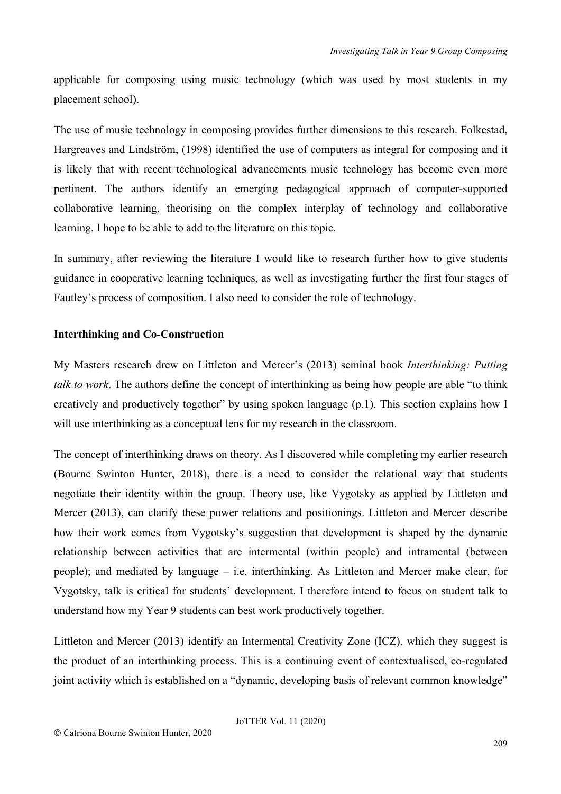applicable for composing using music technology (which was used by most students in my placement school).

The use of music technology in composing provides further dimensions to this research. Folkestad, Hargreaves and Lindström, (1998) identified the use of computers as integral for composing and it is likely that with recent technological advancements music technology has become even more pertinent. The authors identify an emerging pedagogical approach of computer-supported collaborative learning, theorising on the complex interplay of technology and collaborative learning. I hope to be able to add to the literature on this topic.

In summary, after reviewing the literature I would like to research further how to give students guidance in cooperative learning techniques, as well as investigating further the first four stages of Fautley's process of composition. I also need to consider the role of technology.

#### **Interthinking and Co-Construction**

My Masters research drew on Littleton and Mercer's (2013) seminal book *Interthinking: Putting talk to work*. The authors define the concept of interthinking as being how people are able "to think creatively and productively together" by using spoken language (p.1). This section explains how I will use interthinking as a conceptual lens for my research in the classroom.

The concept of interthinking draws on theory. As I discovered while completing my earlier research (Bourne Swinton Hunter, 2018), there is a need to consider the relational way that students negotiate their identity within the group. Theory use, like Vygotsky as applied by Littleton and Mercer (2013), can clarify these power relations and positionings. Littleton and Mercer describe how their work comes from Vygotsky's suggestion that development is shaped by the dynamic relationship between activities that are intermental (within people) and intramental (between people); and mediated by language – i.e. interthinking. As Littleton and Mercer make clear, for Vygotsky, talk is critical for students' development. I therefore intend to focus on student talk to understand how my Year 9 students can best work productively together.

Littleton and Mercer (2013) identify an Intermental Creativity Zone (ICZ), which they suggest is the product of an interthinking process. This is a continuing event of contextualised, co-regulated joint activity which is established on a "dynamic, developing basis of relevant common knowledge"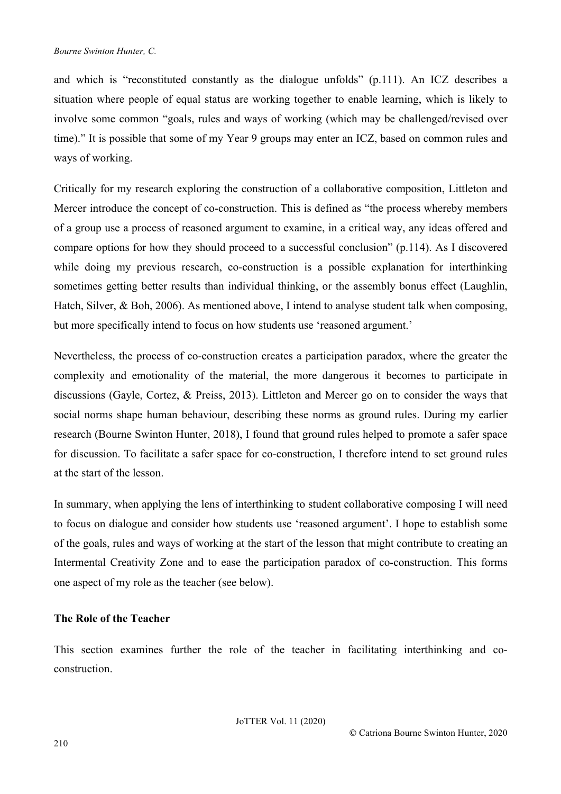and which is "reconstituted constantly as the dialogue unfolds" (p.111). An ICZ describes a situation where people of equal status are working together to enable learning, which is likely to involve some common "goals, rules and ways of working (which may be challenged/revised over time)." It is possible that some of my Year 9 groups may enter an ICZ, based on common rules and ways of working.

Critically for my research exploring the construction of a collaborative composition, Littleton and Mercer introduce the concept of co-construction. This is defined as "the process whereby members of a group use a process of reasoned argument to examine, in a critical way, any ideas offered and compare options for how they should proceed to a successful conclusion" (p.114). As I discovered while doing my previous research, co-construction is a possible explanation for interthinking sometimes getting better results than individual thinking, or the assembly bonus effect (Laughlin, Hatch, Silver, & Boh, 2006). As mentioned above, I intend to analyse student talk when composing, but more specifically intend to focus on how students use 'reasoned argument.'

Nevertheless, the process of co-construction creates a participation paradox, where the greater the complexity and emotionality of the material, the more dangerous it becomes to participate in discussions (Gayle, Cortez, & Preiss, 2013). Littleton and Mercer go on to consider the ways that social norms shape human behaviour, describing these norms as ground rules. During my earlier research (Bourne Swinton Hunter, 2018), I found that ground rules helped to promote a safer space for discussion. To facilitate a safer space for co-construction, I therefore intend to set ground rules at the start of the lesson.

In summary, when applying the lens of interthinking to student collaborative composing I will need to focus on dialogue and consider how students use 'reasoned argument'. I hope to establish some of the goals, rules and ways of working at the start of the lesson that might contribute to creating an Intermental Creativity Zone and to ease the participation paradox of co-construction. This forms one aspect of my role as the teacher (see below).

## **The Role of the Teacher**

This section examines further the role of the teacher in facilitating interthinking and coconstruction.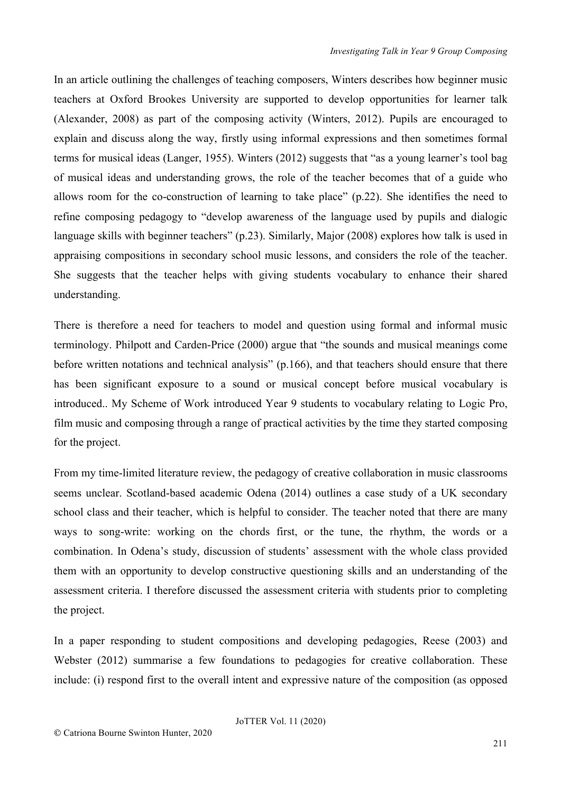In an article outlining the challenges of teaching composers, Winters describes how beginner music teachers at Oxford Brookes University are supported to develop opportunities for learner talk (Alexander, 2008) as part of the composing activity (Winters, 2012). Pupils are encouraged to explain and discuss along the way, firstly using informal expressions and then sometimes formal terms for musical ideas (Langer, 1955). Winters (2012) suggests that "as a young learner's tool bag of musical ideas and understanding grows, the role of the teacher becomes that of a guide who allows room for the co-construction of learning to take place" (p.22). She identifies the need to refine composing pedagogy to "develop awareness of the language used by pupils and dialogic language skills with beginner teachers" (p.23). Similarly, Major (2008) explores how talk is used in appraising compositions in secondary school music lessons, and considers the role of the teacher. She suggests that the teacher helps with giving students vocabulary to enhance their shared understanding.

There is therefore a need for teachers to model and question using formal and informal music terminology. Philpott and Carden-Price (2000) argue that "the sounds and musical meanings come before written notations and technical analysis" (p.166), and that teachers should ensure that there has been significant exposure to a sound or musical concept before musical vocabulary is introduced.. My Scheme of Work introduced Year 9 students to vocabulary relating to Logic Pro, film music and composing through a range of practical activities by the time they started composing for the project.

From my time-limited literature review, the pedagogy of creative collaboration in music classrooms seems unclear. Scotland-based academic Odena (2014) outlines a case study of a UK secondary school class and their teacher, which is helpful to consider. The teacher noted that there are many ways to song-write: working on the chords first, or the tune, the rhythm, the words or a combination. In Odena's study, discussion of students' assessment with the whole class provided them with an opportunity to develop constructive questioning skills and an understanding of the assessment criteria. I therefore discussed the assessment criteria with students prior to completing the project.

In a paper responding to student compositions and developing pedagogies, Reese (2003) and Webster (2012) summarise a few foundations to pedagogies for creative collaboration. These include: (i) respond first to the overall intent and expressive nature of the composition (as opposed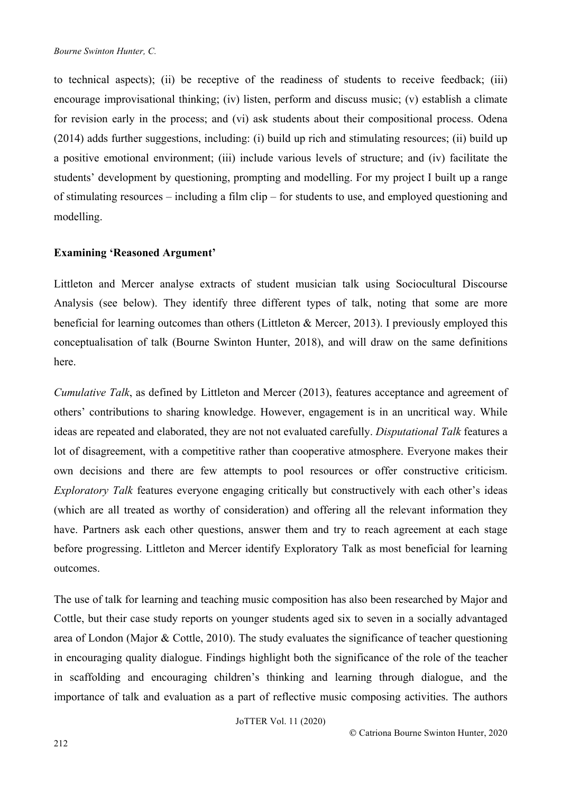to technical aspects); (ii) be receptive of the readiness of students to receive feedback; (iii) encourage improvisational thinking; (iv) listen, perform and discuss music; (v) establish a climate for revision early in the process; and (vi) ask students about their compositional process. Odena (2014) adds further suggestions, including: (i) build up rich and stimulating resources; (ii) build up a positive emotional environment; (iii) include various levels of structure; and (iv) facilitate the students' development by questioning, prompting and modelling. For my project I built up a range of stimulating resources – including a film clip – for students to use, and employed questioning and modelling.

#### **Examining 'Reasoned Argument'**

Littleton and Mercer analyse extracts of student musician talk using Sociocultural Discourse Analysis (see below). They identify three different types of talk, noting that some are more beneficial for learning outcomes than others (Littleton & Mercer, 2013). I previously employed this conceptualisation of talk (Bourne Swinton Hunter, 2018), and will draw on the same definitions here.

*Cumulative Talk*, as defined by Littleton and Mercer (2013), features acceptance and agreement of others' contributions to sharing knowledge. However, engagement is in an uncritical way. While ideas are repeated and elaborated, they are not not evaluated carefully. *Disputational Talk* features a lot of disagreement, with a competitive rather than cooperative atmosphere. Everyone makes their own decisions and there are few attempts to pool resources or offer constructive criticism. *Exploratory Talk* features everyone engaging critically but constructively with each other's ideas (which are all treated as worthy of consideration) and offering all the relevant information they have. Partners ask each other questions, answer them and try to reach agreement at each stage before progressing. Littleton and Mercer identify Exploratory Talk as most beneficial for learning outcomes.

The use of talk for learning and teaching music composition has also been researched by Major and Cottle, but their case study reports on younger students aged six to seven in a socially advantaged area of London (Major & Cottle, 2010). The study evaluates the significance of teacher questioning in encouraging quality dialogue. Findings highlight both the significance of the role of the teacher in scaffolding and encouraging children's thinking and learning through dialogue, and the importance of talk and evaluation as a part of reflective music composing activities. The authors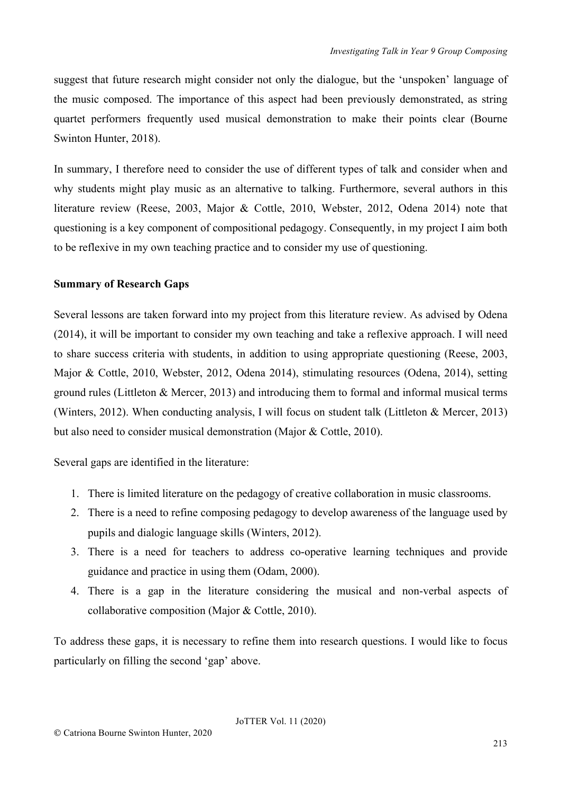suggest that future research might consider not only the dialogue, but the 'unspoken' language of the music composed. The importance of this aspect had been previously demonstrated, as string quartet performers frequently used musical demonstration to make their points clear (Bourne Swinton Hunter, 2018).

In summary, I therefore need to consider the use of different types of talk and consider when and why students might play music as an alternative to talking. Furthermore, several authors in this literature review (Reese, 2003, Major & Cottle, 2010, Webster, 2012, Odena 2014) note that questioning is a key component of compositional pedagogy. Consequently, in my project I aim both to be reflexive in my own teaching practice and to consider my use of questioning.

#### **Summary of Research Gaps**

Several lessons are taken forward into my project from this literature review. As advised by Odena (2014), it will be important to consider my own teaching and take a reflexive approach. I will need to share success criteria with students, in addition to using appropriate questioning (Reese, 2003, Major & Cottle, 2010, Webster, 2012, Odena 2014), stimulating resources (Odena, 2014), setting ground rules (Littleton & Mercer, 2013) and introducing them to formal and informal musical terms (Winters, 2012). When conducting analysis, I will focus on student talk (Littleton & Mercer, 2013) but also need to consider musical demonstration (Major & Cottle, 2010).

Several gaps are identified in the literature:

- 1. There is limited literature on the pedagogy of creative collaboration in music classrooms.
- 2. There is a need to refine composing pedagogy to develop awareness of the language used by pupils and dialogic language skills (Winters, 2012).
- 3. There is a need for teachers to address co-operative learning techniques and provide guidance and practice in using them (Odam, 2000).
- 4. There is a gap in the literature considering the musical and non-verbal aspects of collaborative composition (Major & Cottle, 2010).

To address these gaps, it is necessary to refine them into research questions. I would like to focus particularly on filling the second 'gap' above.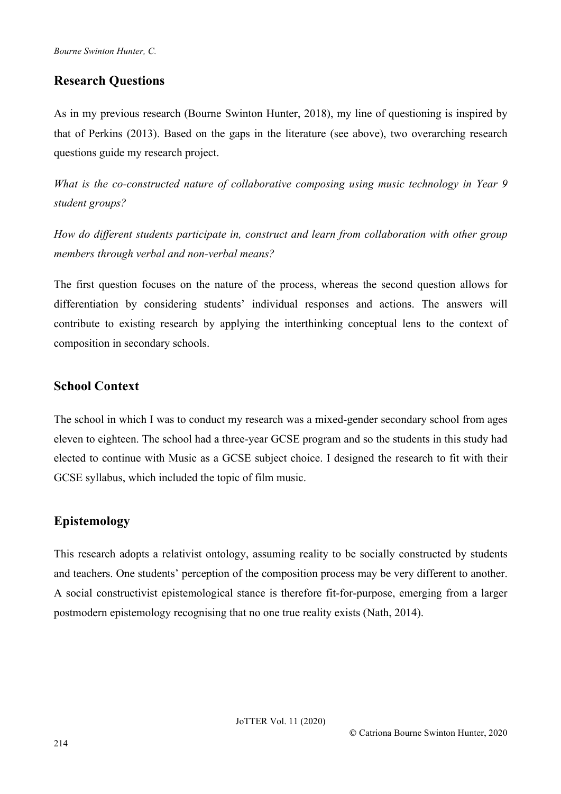## **Research Questions**

As in my previous research (Bourne Swinton Hunter, 2018), my line of questioning is inspired by that of Perkins (2013). Based on the gaps in the literature (see above), two overarching research questions guide my research project.

*What is the co-constructed nature of collaborative composing using music technology in Year 9 student groups?*

*How do different students participate in, construct and learn from collaboration with other group members through verbal and non-verbal means?*

The first question focuses on the nature of the process, whereas the second question allows for differentiation by considering students' individual responses and actions. The answers will contribute to existing research by applying the interthinking conceptual lens to the context of composition in secondary schools.

## **School Context**

The school in which I was to conduct my research was a mixed-gender secondary school from ages eleven to eighteen. The school had a three-year GCSE program and so the students in this study had elected to continue with Music as a GCSE subject choice. I designed the research to fit with their GCSE syllabus, which included the topic of film music.

# **Epistemology**

This research adopts a relativist ontology, assuming reality to be socially constructed by students and teachers. One students' perception of the composition process may be very different to another. A social constructivist epistemological stance is therefore fit-for-purpose, emerging from a larger postmodern epistemology recognising that no one true reality exists (Nath, 2014).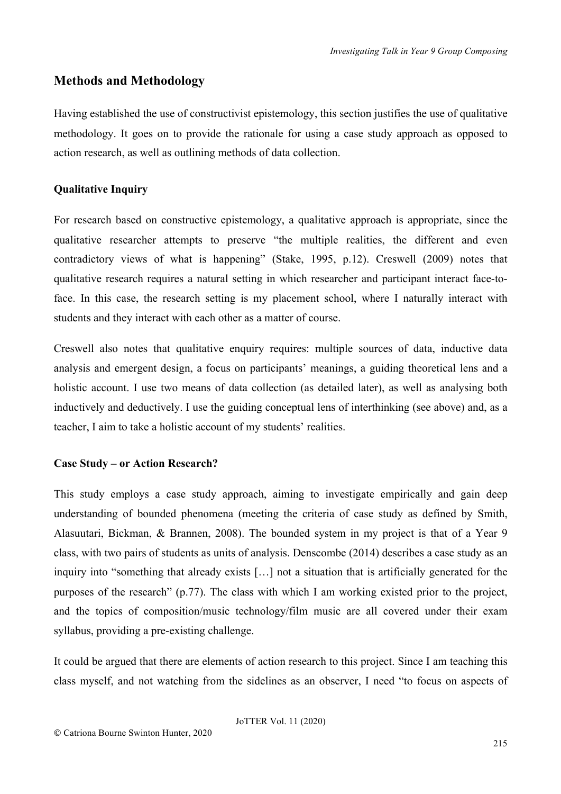## **Methods and Methodology**

Having established the use of constructivist epistemology, this section justifies the use of qualitative methodology. It goes on to provide the rationale for using a case study approach as opposed to action research, as well as outlining methods of data collection.

## **Qualitative Inquiry**

For research based on constructive epistemology, a qualitative approach is appropriate, since the qualitative researcher attempts to preserve "the multiple realities, the different and even contradictory views of what is happening" (Stake, 1995, p.12). Creswell (2009) notes that qualitative research requires a natural setting in which researcher and participant interact face-toface. In this case, the research setting is my placement school, where I naturally interact with students and they interact with each other as a matter of course.

Creswell also notes that qualitative enquiry requires: multiple sources of data, inductive data analysis and emergent design, a focus on participants' meanings, a guiding theoretical lens and a holistic account. I use two means of data collection (as detailed later), as well as analysing both inductively and deductively. I use the guiding conceptual lens of interthinking (see above) and, as a teacher, I aim to take a holistic account of my students' realities.

## **Case Study – or Action Research?**

This study employs a case study approach, aiming to investigate empirically and gain deep understanding of bounded phenomena (meeting the criteria of case study as defined by Smith, Alasuutari, Bickman, & Brannen, 2008). The bounded system in my project is that of a Year 9 class, with two pairs of students as units of analysis. Denscombe (2014) describes a case study as an inquiry into "something that already exists [...] not a situation that is artificially generated for the purposes of the research" (p.77). The class with which I am working existed prior to the project, and the topics of composition/music technology/film music are all covered under their exam syllabus, providing a pre-existing challenge.

It could be argued that there are elements of action research to this project. Since I am teaching this class myself, and not watching from the sidelines as an observer, I need "to focus on aspects of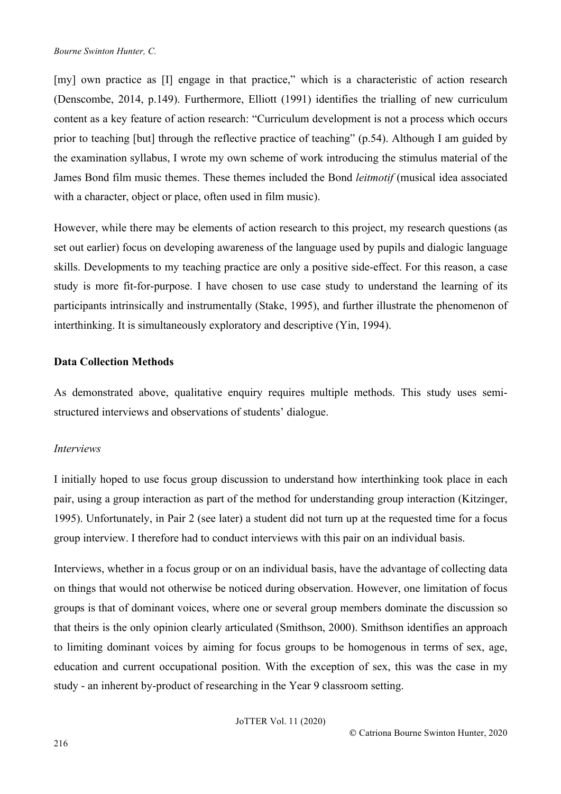[my] own practice as [I] engage in that practice," which is a characteristic of action research (Denscombe, 2014, p.149). Furthermore, Elliott (1991) identifies the trialling of new curriculum content as a key feature of action research: "Curriculum development is not a process which occurs prior to teaching [but] through the reflective practice of teaching" (p.54). Although I am guided by the examination syllabus, I wrote my own scheme of work introducing the stimulus material of the James Bond film music themes. These themes included the Bond *leitmotif* (musical idea associated with a character, object or place, often used in film music).

However, while there may be elements of action research to this project, my research questions (as set out earlier) focus on developing awareness of the language used by pupils and dialogic language skills. Developments to my teaching practice are only a positive side-effect. For this reason, a case study is more fit-for-purpose. I have chosen to use case study to understand the learning of its participants intrinsically and instrumentally (Stake, 1995), and further illustrate the phenomenon of interthinking. It is simultaneously exploratory and descriptive (Yin, 1994).

#### **Data Collection Methods**

As demonstrated above, qualitative enquiry requires multiple methods. This study uses semistructured interviews and observations of students' dialogue.

## *Interviews*

I initially hoped to use focus group discussion to understand how interthinking took place in each pair, using a group interaction as part of the method for understanding group interaction (Kitzinger, 1995). Unfortunately, in Pair 2 (see later) a student did not turn up at the requested time for a focus group interview. I therefore had to conduct interviews with this pair on an individual basis.

Interviews, whether in a focus group or on an individual basis, have the advantage of collecting data on things that would not otherwise be noticed during observation. However, one limitation of focus groups is that of dominant voices, where one or several group members dominate the discussion so that theirs is the only opinion clearly articulated (Smithson, 2000). Smithson identifies an approach to limiting dominant voices by aiming for focus groups to be homogenous in terms of sex, age, education and current occupational position. With the exception of sex, this was the case in my study - an inherent by-product of researching in the Year 9 classroom setting.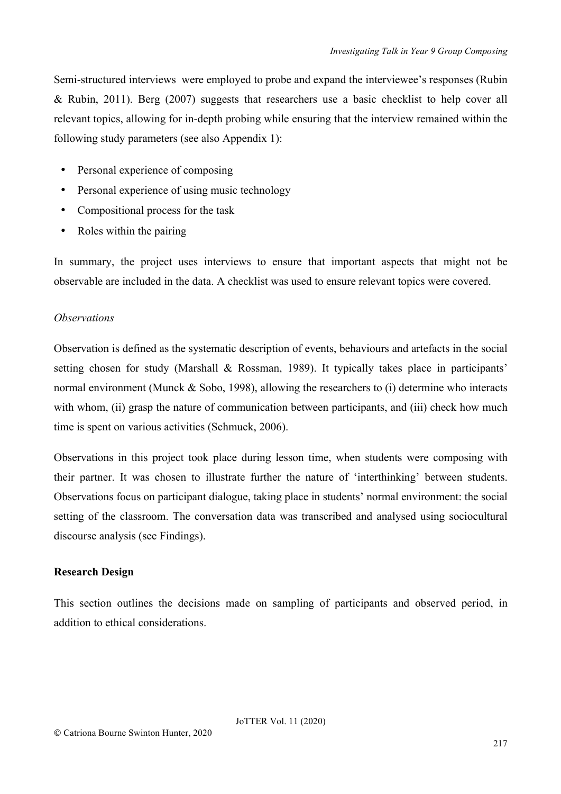Semi-structured interviews were employed to probe and expand the interviewee's responses (Rubin & Rubin, 2011). Berg (2007) suggests that researchers use a basic checklist to help cover all relevant topics, allowing for in-depth probing while ensuring that the interview remained within the following study parameters (see also Appendix 1):

- Personal experience of composing
- Personal experience of using music technology
- Compositional process for the task
- Roles within the pairing

In summary, the project uses interviews to ensure that important aspects that might not be observable are included in the data. A checklist was used to ensure relevant topics were covered.

#### *Observations*

Observation is defined as the systematic description of events, behaviours and artefacts in the social setting chosen for study (Marshall & Rossman, 1989). It typically takes place in participants' normal environment (Munck & Sobo, 1998), allowing the researchers to (i) determine who interacts with whom, (ii) grasp the nature of communication between participants, and (iii) check how much time is spent on various activities (Schmuck, 2006).

Observations in this project took place during lesson time, when students were composing with their partner. It was chosen to illustrate further the nature of 'interthinking' between students. Observations focus on participant dialogue, taking place in students' normal environment: the social setting of the classroom. The conversation data was transcribed and analysed using sociocultural discourse analysis (see Findings).

## **Research Design**

This section outlines the decisions made on sampling of participants and observed period, in addition to ethical considerations.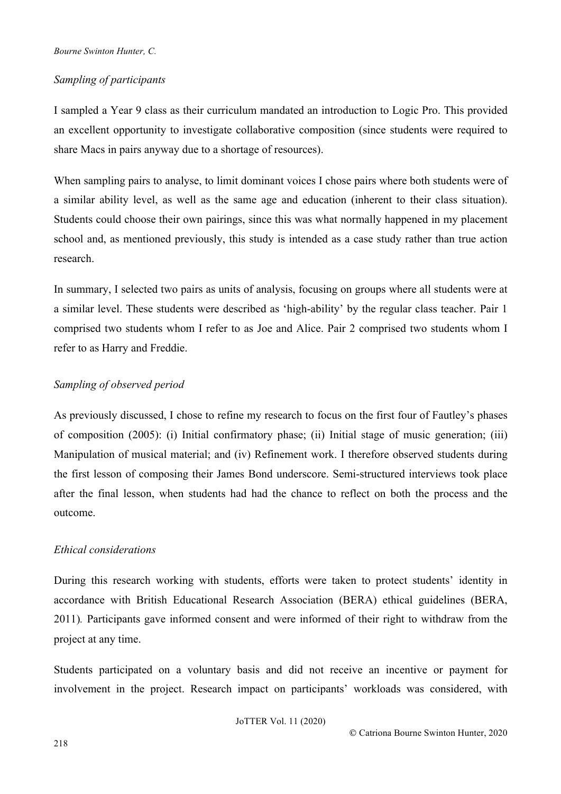## *Sampling of participants*

I sampled a Year 9 class as their curriculum mandated an introduction to Logic Pro. This provided an excellent opportunity to investigate collaborative composition (since students were required to share Macs in pairs anyway due to a shortage of resources).

When sampling pairs to analyse, to limit dominant voices I chose pairs where both students were of a similar ability level, as well as the same age and education (inherent to their class situation). Students could choose their own pairings, since this was what normally happened in my placement school and, as mentioned previously, this study is intended as a case study rather than true action research.

In summary, I selected two pairs as units of analysis, focusing on groups where all students were at a similar level. These students were described as 'high-ability' by the regular class teacher. Pair 1 comprised two students whom I refer to as Joe and Alice. Pair 2 comprised two students whom I refer to as Harry and Freddie.

## *Sampling of observed period*

As previously discussed, I chose to refine my research to focus on the first four of Fautley's phases of composition (2005): (i) Initial confirmatory phase; (ii) Initial stage of music generation; (iii) Manipulation of musical material; and (iv) Refinement work. I therefore observed students during the first lesson of composing their James Bond underscore. Semi-structured interviews took place after the final lesson, when students had had the chance to reflect on both the process and the outcome.

## *Ethical considerations*

During this research working with students, efforts were taken to protect students' identity in accordance with British Educational Research Association (BERA) ethical guidelines (BERA, 2011)*.* Participants gave informed consent and were informed of their right to withdraw from the project at any time.

Students participated on a voluntary basis and did not receive an incentive or payment for involvement in the project. Research impact on participants' workloads was considered, with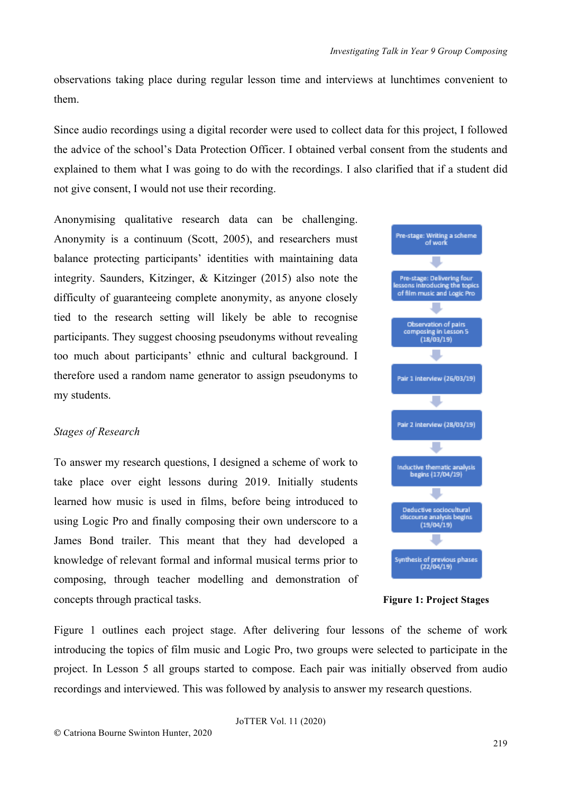observations taking place during regular lesson time and interviews at lunchtimes convenient to them.

Since audio recordings using a digital recorder were used to collect data for this project, I followed the advice of the school's Data Protection Officer. I obtained verbal consent from the students and explained to them what I was going to do with the recordings. I also clarified that if a student did not give consent, I would not use their recording.

Anonymising qualitative research data can be challenging. Anonymity is a continuum (Scott, 2005), and researchers must balance protecting participants' identities with maintaining data integrity. Saunders, Kitzinger, & Kitzinger (2015) also note the difficulty of guaranteeing complete anonymity, as anyone closely tied to the research setting will likely be able to recognise participants. They suggest choosing pseudonyms without revealing too much about participants' ethnic and cultural background. I therefore used a random name generator to assign pseudonyms to my students.

## *Stages of Research*

To answer my research questions, I designed a scheme of work to take place over eight lessons during 2019. Initially students learned how music is used in films, before being introduced to using Logic Pro and finally composing their own underscore to a James Bond trailer. This meant that they had developed a knowledge of relevant formal and informal musical terms prior to composing, through teacher modelling and demonstration of concepts through practical tasks. **Figure 1: Project Stages**

Figure 1 outlines each project stage. After delivering four lessons of the scheme of work introducing the topics of film music and Logic Pro, two groups were selected to participate in the project. In Lesson 5 all groups started to compose. Each pair was initially observed from audio recordings and interviewed. This was followed by analysis to answer my research questions.

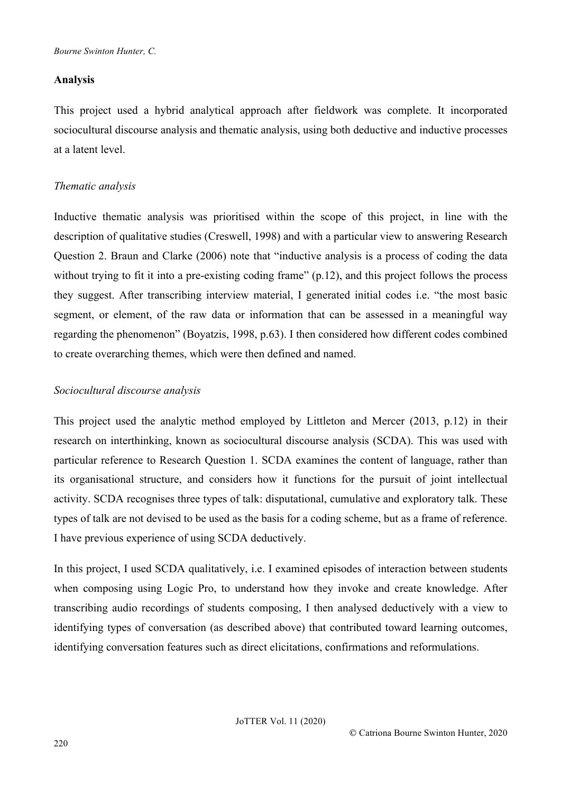## **Analysis**

This project used a hybrid analytical approach after fieldwork was complete. It incorporated sociocultural discourse analysis and thematic analysis, using both deductive and inductive processes at a latent level.

## *Thematic analysis*

Inductive thematic analysis was prioritised within the scope of this project, in line with the description of qualitative studies (Creswell, 1998) and with a particular view to answering Research Question 2. Braun and Clarke (2006) note that "inductive analysis is a process of coding the data without trying to fit it into a pre-existing coding frame" (p.12), and this project follows the process they suggest. After transcribing interview material, I generated initial codes i.e. "the most basic segment, or element, of the raw data or information that can be assessed in a meaningful way regarding the phenomenon" (Boyatzis, 1998, p.63). I then considered how different codes combined to create overarching themes, which were then defined and named.

## *Sociocultural discourse analysis*

This project used the analytic method employed by Littleton and Mercer (2013, p.12) in their research on interthinking, known as sociocultural discourse analysis (SCDA). This was used with particular reference to Research Question 1. SCDA examines the content of language, rather than its organisational structure, and considers how it functions for the pursuit of joint intellectual activity. SCDA recognises three types of talk: disputational, cumulative and exploratory talk. These types of talk are not devised to be used as the basis for a coding scheme, but as a frame of reference. I have previous experience of using SCDA deductively.

In this project, I used SCDA qualitatively, i.e. I examined episodes of interaction between students when composing using Logic Pro, to understand how they invoke and create knowledge. After transcribing audio recordings of students composing, I then analysed deductively with a view to identifying types of conversation (as described above) that contributed toward learning outcomes, identifying conversation features such as direct elicitations, confirmations and reformulations.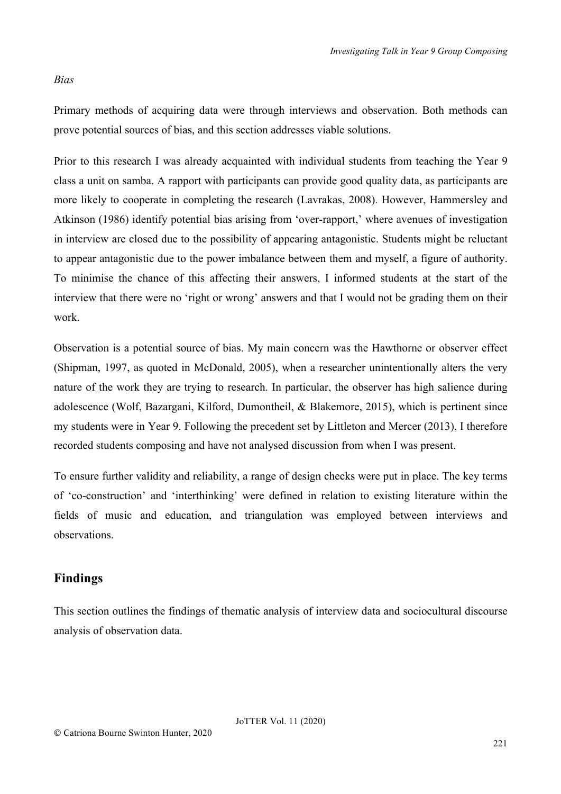#### *Bias*

Primary methods of acquiring data were through interviews and observation. Both methods can prove potential sources of bias, and this section addresses viable solutions.

Prior to this research I was already acquainted with individual students from teaching the Year 9 class a unit on samba. A rapport with participants can provide good quality data, as participants are more likely to cooperate in completing the research (Lavrakas, 2008). However, Hammersley and Atkinson (1986) identify potential bias arising from 'over-rapport,' where avenues of investigation in interview are closed due to the possibility of appearing antagonistic. Students might be reluctant to appear antagonistic due to the power imbalance between them and myself, a figure of authority. To minimise the chance of this affecting their answers, I informed students at the start of the interview that there were no 'right or wrong' answers and that I would not be grading them on their work.

Observation is a potential source of bias. My main concern was the Hawthorne or observer effect (Shipman, 1997, as quoted in McDonald, 2005), when a researcher unintentionally alters the very nature of the work they are trying to research. In particular, the observer has high salience during adolescence (Wolf, Bazargani, Kilford, Dumontheil, & Blakemore, 2015), which is pertinent since my students were in Year 9. Following the precedent set by Littleton and Mercer (2013), I therefore recorded students composing and have not analysed discussion from when I was present.

To ensure further validity and reliability, a range of design checks were put in place. The key terms of 'co-construction' and 'interthinking' were defined in relation to existing literature within the fields of music and education, and triangulation was employed between interviews and observations.

## **Findings**

This section outlines the findings of thematic analysis of interview data and sociocultural discourse analysis of observation data.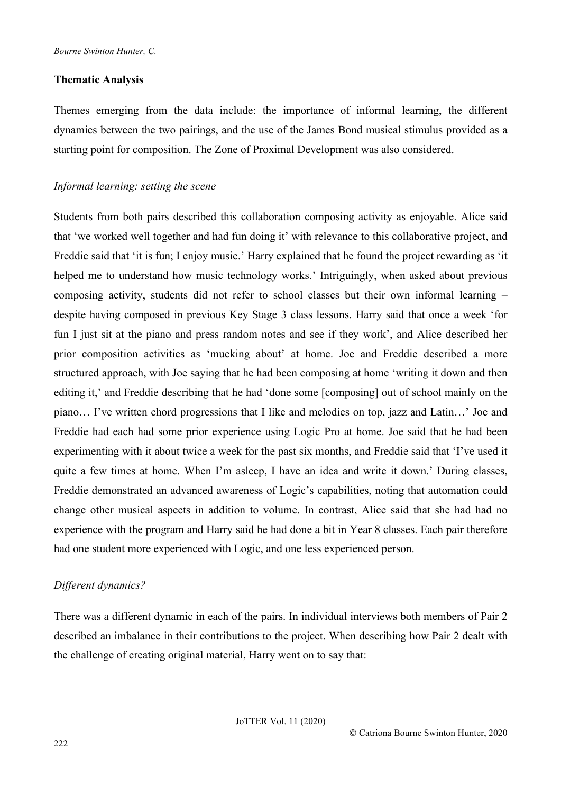#### **Thematic Analysis**

Themes emerging from the data include: the importance of informal learning, the different dynamics between the two pairings, and the use of the James Bond musical stimulus provided as a starting point for composition. The Zone of Proximal Development was also considered.

#### *Informal learning: setting the scene*

Students from both pairs described this collaboration composing activity as enjoyable. Alice said that 'we worked well together and had fun doing it' with relevance to this collaborative project, and Freddie said that 'it is fun; I enjoy music.' Harry explained that he found the project rewarding as 'it helped me to understand how music technology works.' Intriguingly, when asked about previous composing activity, students did not refer to school classes but their own informal learning – despite having composed in previous Key Stage 3 class lessons. Harry said that once a week 'for fun I just sit at the piano and press random notes and see if they work', and Alice described her prior composition activities as 'mucking about' at home. Joe and Freddie described a more structured approach, with Joe saying that he had been composing at home 'writing it down and then editing it,' and Freddie describing that he had 'done some [composing] out of school mainly on the piano… I've written chord progressions that I like and melodies on top, jazz and Latin…' Joe and Freddie had each had some prior experience using Logic Pro at home. Joe said that he had been experimenting with it about twice a week for the past six months, and Freddie said that 'I've used it quite a few times at home. When I'm asleep, I have an idea and write it down.' During classes, Freddie demonstrated an advanced awareness of Logic's capabilities, noting that automation could change other musical aspects in addition to volume. In contrast, Alice said that she had had no experience with the program and Harry said he had done a bit in Year 8 classes. Each pair therefore had one student more experienced with Logic, and one less experienced person.

## *Different dynamics?*

There was a different dynamic in each of the pairs. In individual interviews both members of Pair 2 described an imbalance in their contributions to the project. When describing how Pair 2 dealt with the challenge of creating original material, Harry went on to say that: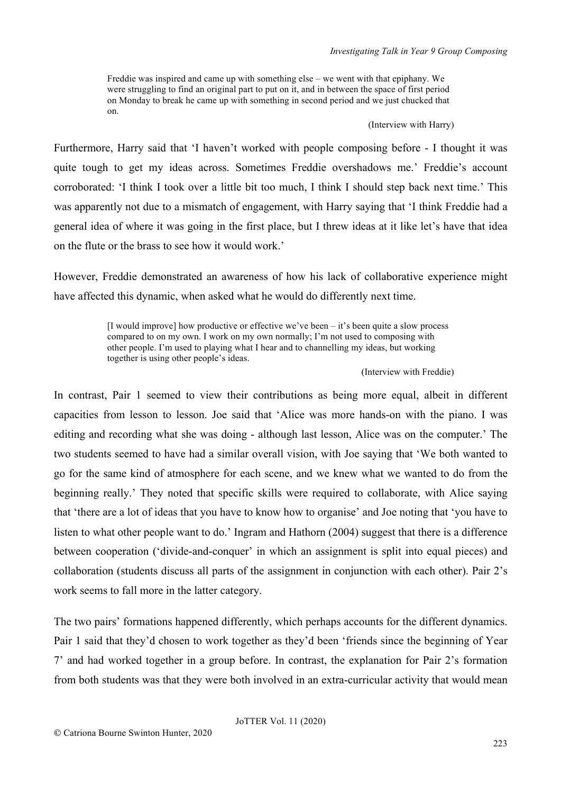Freddie was inspired and came up with something else – we went with that epiphany. We were struggling to find an original part to put on it, and in between the space of first period on Monday to break he came up with something in second period and we just chucked that on.

#### (Interview with Harry)

Furthermore, Harry said that 'I haven't worked with people composing before - I thought it was quite tough to get my ideas across. Sometimes Freddie overshadows me.' Freddie's account corroborated: 'I think I took over a little bit too much, I think I should step back next time.' This was apparently not due to a mismatch of engagement, with Harry saying that 'I think Freddie had a general idea of where it was going in the first place, but I threw ideas at it like let's have that idea on the flute or the brass to see how it would work.'

However, Freddie demonstrated an awareness of how his lack of collaborative experience might have affected this dynamic, when asked what he would do differently next time.

> [I would improve] how productive or effective we've been – it's been quite a slow process compared to on my own. I work on my own normally; I'm not used to composing with other people. I'm used to playing what I hear and to channelling my ideas, but working together is using other people's ideas.

> > (Interview with Freddie)

In contrast, Pair 1 seemed to view their contributions as being more equal, albeit in different capacities from lesson to lesson. Joe said that 'Alice was more hands-on with the piano. I was editing and recording what she was doing - although last lesson, Alice was on the computer.' The two students seemed to have had a similar overall vision, with Joe saying that 'We both wanted to go for the same kind of atmosphere for each scene, and we knew what we wanted to do from the beginning really.' They noted that specific skills were required to collaborate, with Alice saying that 'there are a lot of ideas that you have to know how to organise' and Joe noting that 'you have to listen to what other people want to do.' Ingram and Hathorn (2004) suggest that there is a difference between cooperation ('divide-and-conquer' in which an assignment is split into equal pieces) and collaboration (students discuss all parts of the assignment in conjunction with each other). Pair 2's work seems to fall more in the latter category.

The two pairs' formations happened differently, which perhaps accounts for the different dynamics. Pair 1 said that they'd chosen to work together as they'd been 'friends since the beginning of Year 7' and had worked together in a group before. In contrast, the explanation for Pair 2's formation from both students was that they were both involved in an extra-curricular activity that would mean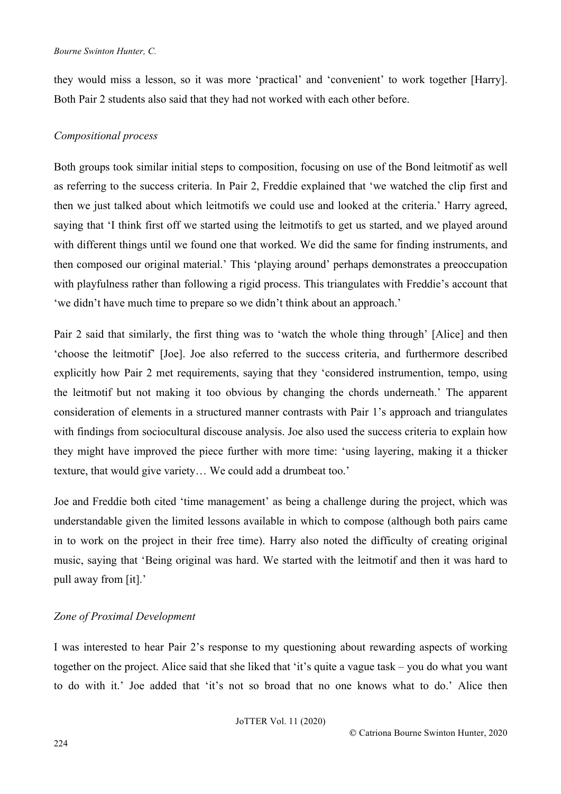#### *Bourne Swinton Hunter, C.*

they would miss a lesson, so it was more 'practical' and 'convenient' to work together [Harry]. Both Pair 2 students also said that they had not worked with each other before.

## *Compositional process*

Both groups took similar initial steps to composition, focusing on use of the Bond leitmotif as well as referring to the success criteria. In Pair 2, Freddie explained that 'we watched the clip first and then we just talked about which leitmotifs we could use and looked at the criteria.' Harry agreed, saying that 'I think first off we started using the leitmotifs to get us started, and we played around with different things until we found one that worked. We did the same for finding instruments, and then composed our original material.' This 'playing around' perhaps demonstrates a preoccupation with playfulness rather than following a rigid process. This triangulates with Freddie's account that 'we didn't have much time to prepare so we didn't think about an approach.'

Pair 2 said that similarly, the first thing was to 'watch the whole thing through' [Alice] and then 'choose the leitmotif' [Joe]. Joe also referred to the success criteria, and furthermore described explicitly how Pair 2 met requirements, saying that they 'considered instrumention, tempo, using the leitmotif but not making it too obvious by changing the chords underneath.' The apparent consideration of elements in a structured manner contrasts with Pair 1's approach and triangulates with findings from sociocultural discouse analysis. Joe also used the success criteria to explain how they might have improved the piece further with more time: 'using layering, making it a thicker texture, that would give variety… We could add a drumbeat too.'

Joe and Freddie both cited 'time management' as being a challenge during the project, which was understandable given the limited lessons available in which to compose (although both pairs came in to work on the project in their free time). Harry also noted the difficulty of creating original music, saying that 'Being original was hard. We started with the leitmotif and then it was hard to pull away from [it].'

## *Zone of Proximal Development*

I was interested to hear Pair 2's response to my questioning about rewarding aspects of working together on the project. Alice said that she liked that 'it's quite a vague task – you do what you want to do with it.' Joe added that 'it's not so broad that no one knows what to do.' Alice then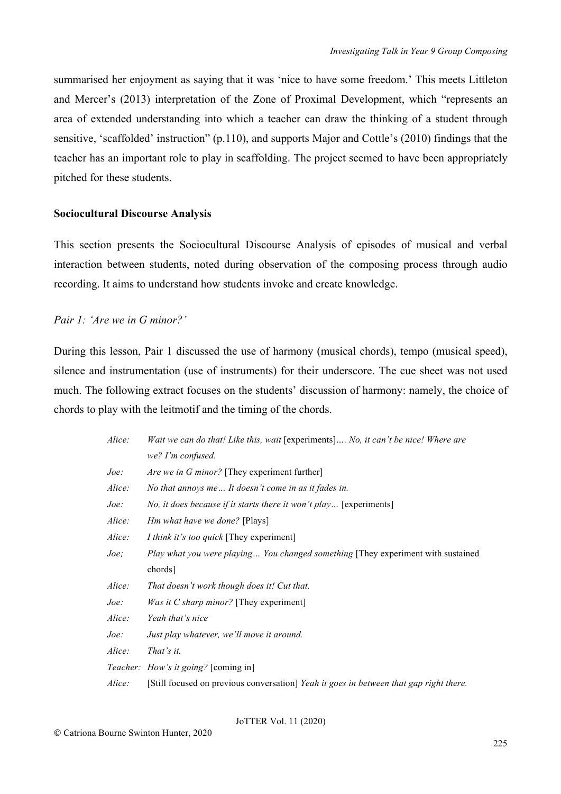summarised her enjoyment as saying that it was 'nice to have some freedom.' This meets Littleton and Mercer's (2013) interpretation of the Zone of Proximal Development, which "represents an area of extended understanding into which a teacher can draw the thinking of a student through sensitive, 'scaffolded' instruction" (p.110), and supports Major and Cottle's (2010) findings that the teacher has an important role to play in scaffolding. The project seemed to have been appropriately pitched for these students.

#### **Sociocultural Discourse Analysis**

This section presents the Sociocultural Discourse Analysis of episodes of musical and verbal interaction between students, noted during observation of the composing process through audio recording. It aims to understand how students invoke and create knowledge.

*Pair 1: 'Are we in G minor?'*

During this lesson, Pair 1 discussed the use of harmony (musical chords), tempo (musical speed), silence and instrumentation (use of instruments) for their underscore. The cue sheet was not used much. The following extract focuses on the students' discussion of harmony: namely, the choice of chords to play with the leitmotif and the timing of the chords.

| Alice:        | Wait we can do that! Like this, wait [experiments] No, it can't be nice! Where are     |
|---------------|----------------------------------------------------------------------------------------|
|               | we? I'm confused.                                                                      |
| $\it Joe:$    | <i>Are we in G minor?</i> [They experiment further]                                    |
| <i>Alice:</i> | No that annoys me It doesn't come in as it fades in.                                   |
| $\it Joe:$    | No, it does because if it starts there it won't play [experiments]                     |
| <i>Alice:</i> | <i>Hm what have we done?</i> [Plays]                                                   |
| <i>Alice:</i> | <i>I think it's too quick</i> [They experiment]                                        |
| Joe;          | Play what you were playing You changed something [They experiment with sustained       |
|               | chords]                                                                                |
| Alice:        | That doesn't work though does it! Cut that.                                            |
| Joe:          | <i>Was it C sharp minor?</i> [They experiment]                                         |
| Alice:        | Yeah that's nice                                                                       |
| Joe:          | Just play whatever, we'll move it around.                                              |
| Alice:        | That's it.                                                                             |
|               | <i>Teacher: How's it going?</i> [coming in]                                            |
| <i>Alice:</i> | [Still focused on previous conversation] Yeah it goes in between that gap right there. |
|               |                                                                                        |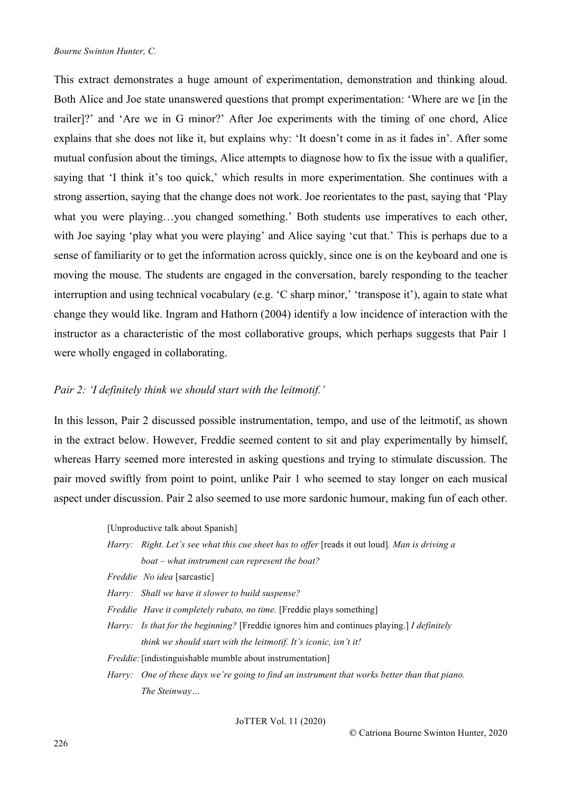This extract demonstrates a huge amount of experimentation, demonstration and thinking aloud. Both Alice and Joe state unanswered questions that prompt experimentation: 'Where are we [in the trailer]?' and 'Are we in G minor?' After Joe experiments with the timing of one chord, Alice explains that she does not like it, but explains why: 'It doesn't come in as it fades in'. After some mutual confusion about the timings, Alice attempts to diagnose how to fix the issue with a qualifier, saying that 'I think it's too quick,' which results in more experimentation. She continues with a strong assertion, saying that the change does not work. Joe reorientates to the past, saying that 'Play what you were playing…you changed something.' Both students use imperatives to each other, with Joe saying 'play what you were playing' and Alice saying 'cut that.' This is perhaps due to a sense of familiarity or to get the information across quickly, since one is on the keyboard and one is moving the mouse. The students are engaged in the conversation, barely responding to the teacher interruption and using technical vocabulary (e.g. 'C sharp minor,' 'transpose it'), again to state what change they would like. Ingram and Hathorn (2004) identify a low incidence of interaction with the instructor as a characteristic of the most collaborative groups, which perhaps suggests that Pair 1 were wholly engaged in collaborating.

#### *Pair 2: 'I definitely think we should start with the leitmotif.'*

In this lesson, Pair 2 discussed possible instrumentation, tempo, and use of the leitmotif, as shown in the extract below. However, Freddie seemed content to sit and play experimentally by himself, whereas Harry seemed more interested in asking questions and trying to stimulate discussion. The pair moved swiftly from point to point, unlike Pair 1 who seemed to stay longer on each musical aspect under discussion. Pair 2 also seemed to use more sardonic humour, making fun of each other.

[Unproductive talk about Spanish]

- *Harry: Right. Let's see what this cue sheet has to offer* [reads it out loud]*. Man is driving a boat – what instrument can represent the boat?*
- *Freddie No idea* [sarcastic]
- *Harry: Shall we have it slower to build suspense?*
- *Freddie Have it completely rubato, no time.* [Freddie plays something]
- *Harry: Is that for the beginning?* [Freddie ignores him and continues playing.] *I definitely think we should start with the leitmotif. It's iconic, isn't it!*
- *Freddie:* [indistinguishable mumble about instrumentation]
- *Harry: One of these days we're going to find an instrument that works better than that piano. The Steinway…*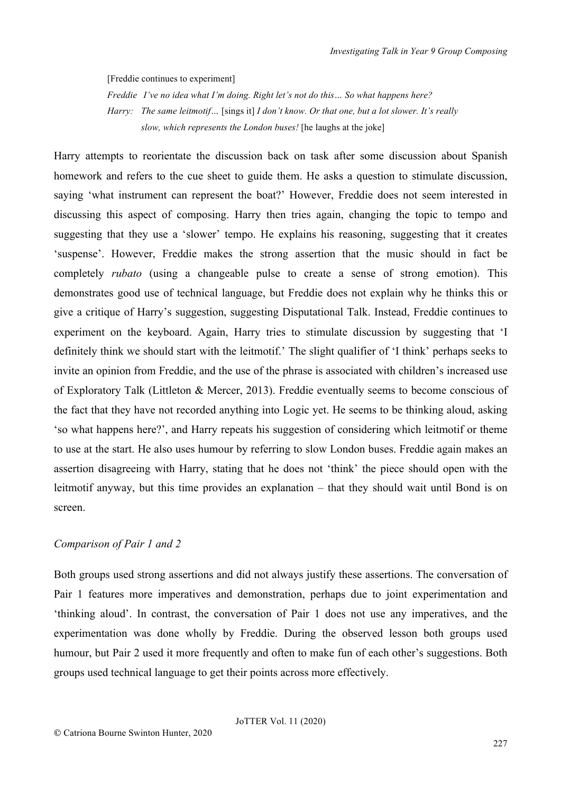[Freddie continues to experiment]

*Freddie I've no idea what I'm doing. Right let's not do this… So what happens here? Harry: The same leitmotif…* [sings it] *I don't know. Or that one, but a lot slower. It's really slow, which represents the London buses!* [he laughs at the joke]

Harry attempts to reorientate the discussion back on task after some discussion about Spanish homework and refers to the cue sheet to guide them. He asks a question to stimulate discussion, saying 'what instrument can represent the boat?' However, Freddie does not seem interested in discussing this aspect of composing. Harry then tries again, changing the topic to tempo and suggesting that they use a 'slower' tempo. He explains his reasoning, suggesting that it creates 'suspense'. However, Freddie makes the strong assertion that the music should in fact be completely *rubato* (using a changeable pulse to create a sense of strong emotion). This demonstrates good use of technical language, but Freddie does not explain why he thinks this or give a critique of Harry's suggestion, suggesting Disputational Talk. Instead, Freddie continues to experiment on the keyboard. Again, Harry tries to stimulate discussion by suggesting that 'I definitely think we should start with the leitmotif.' The slight qualifier of 'I think' perhaps seeks to invite an opinion from Freddie, and the use of the phrase is associated with children's increased use of Exploratory Talk (Littleton & Mercer, 2013). Freddie eventually seems to become conscious of the fact that they have not recorded anything into Logic yet. He seems to be thinking aloud, asking 'so what happens here?', and Harry repeats his suggestion of considering which leitmotif or theme to use at the start. He also uses humour by referring to slow London buses. Freddie again makes an assertion disagreeing with Harry, stating that he does not 'think' the piece should open with the leitmotif anyway, but this time provides an explanation – that they should wait until Bond is on screen.

#### *Comparison of Pair 1 and 2*

Both groups used strong assertions and did not always justify these assertions. The conversation of Pair 1 features more imperatives and demonstration, perhaps due to joint experimentation and 'thinking aloud'. In contrast, the conversation of Pair 1 does not use any imperatives, and the experimentation was done wholly by Freddie. During the observed lesson both groups used humour, but Pair 2 used it more frequently and often to make fun of each other's suggestions. Both groups used technical language to get their points across more effectively.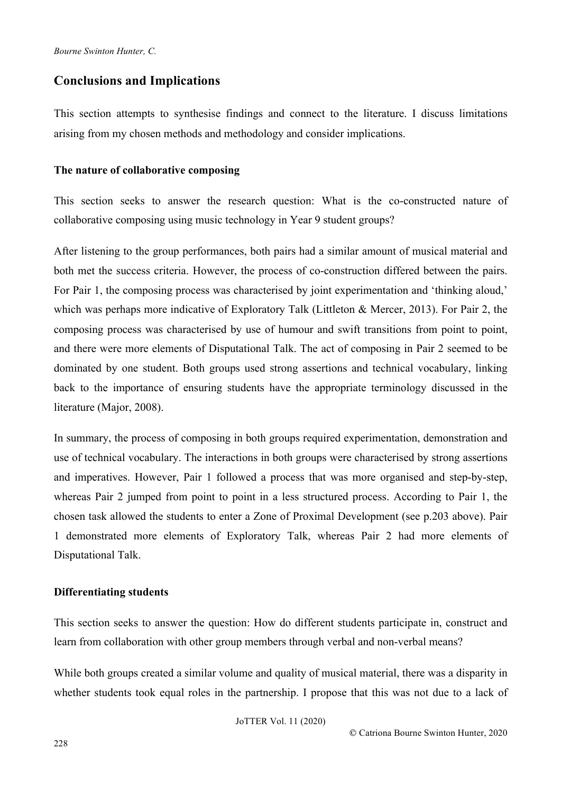## **Conclusions and Implications**

This section attempts to synthesise findings and connect to the literature. I discuss limitations arising from my chosen methods and methodology and consider implications.

#### **The nature of collaborative composing**

This section seeks to answer the research question: What is the co-constructed nature of collaborative composing using music technology in Year 9 student groups?

After listening to the group performances, both pairs had a similar amount of musical material and both met the success criteria. However, the process of co-construction differed between the pairs. For Pair 1, the composing process was characterised by joint experimentation and 'thinking aloud,' which was perhaps more indicative of Exploratory Talk (Littleton & Mercer, 2013). For Pair 2, the composing process was characterised by use of humour and swift transitions from point to point, and there were more elements of Disputational Talk. The act of composing in Pair 2 seemed to be dominated by one student. Both groups used strong assertions and technical vocabulary, linking back to the importance of ensuring students have the appropriate terminology discussed in the literature (Major, 2008).

In summary, the process of composing in both groups required experimentation, demonstration and use of technical vocabulary. The interactions in both groups were characterised by strong assertions and imperatives. However, Pair 1 followed a process that was more organised and step-by-step, whereas Pair 2 jumped from point to point in a less structured process. According to Pair 1, the chosen task allowed the students to enter a Zone of Proximal Development (see p.203 above). Pair 1 demonstrated more elements of Exploratory Talk, whereas Pair 2 had more elements of Disputational Talk.

#### **Differentiating students**

This section seeks to answer the question: How do different students participate in, construct and learn from collaboration with other group members through verbal and non-verbal means?

While both groups created a similar volume and quality of musical material, there was a disparity in whether students took equal roles in the partnership. I propose that this was not due to a lack of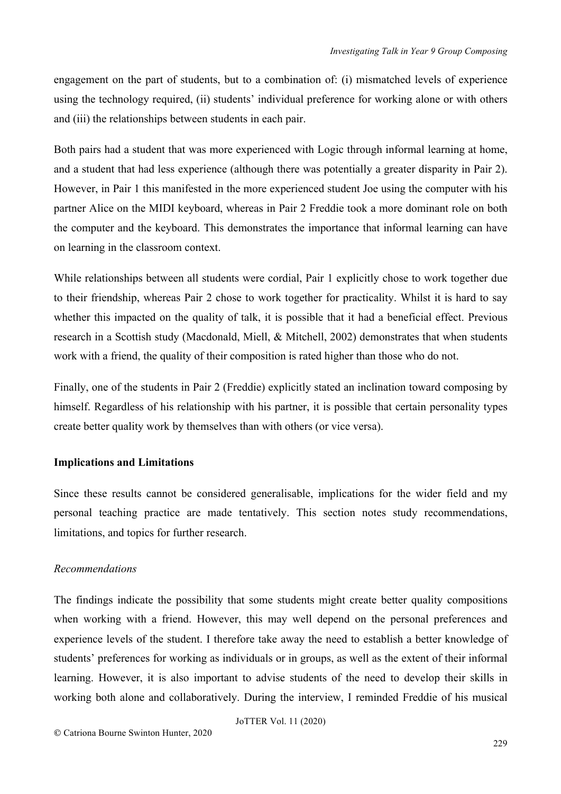engagement on the part of students, but to a combination of: (i) mismatched levels of experience using the technology required, (ii) students' individual preference for working alone or with others and (iii) the relationships between students in each pair.

Both pairs had a student that was more experienced with Logic through informal learning at home, and a student that had less experience (although there was potentially a greater disparity in Pair 2). However, in Pair 1 this manifested in the more experienced student Joe using the computer with his partner Alice on the MIDI keyboard, whereas in Pair 2 Freddie took a more dominant role on both the computer and the keyboard. This demonstrates the importance that informal learning can have on learning in the classroom context.

While relationships between all students were cordial, Pair 1 explicitly chose to work together due to their friendship, whereas Pair 2 chose to work together for practicality. Whilst it is hard to say whether this impacted on the quality of talk, it is possible that it had a beneficial effect. Previous research in a Scottish study (Macdonald, Miell, & Mitchell, 2002) demonstrates that when students work with a friend, the quality of their composition is rated higher than those who do not.

Finally, one of the students in Pair 2 (Freddie) explicitly stated an inclination toward composing by himself. Regardless of his relationship with his partner, it is possible that certain personality types create better quality work by themselves than with others (or vice versa).

## **Implications and Limitations**

Since these results cannot be considered generalisable, implications for the wider field and my personal teaching practice are made tentatively. This section notes study recommendations, limitations, and topics for further research.

## *Recommendations*

The findings indicate the possibility that some students might create better quality compositions when working with a friend. However, this may well depend on the personal preferences and experience levels of the student. I therefore take away the need to establish a better knowledge of students' preferences for working as individuals or in groups, as well as the extent of their informal learning. However, it is also important to advise students of the need to develop their skills in working both alone and collaboratively. During the interview, I reminded Freddie of his musical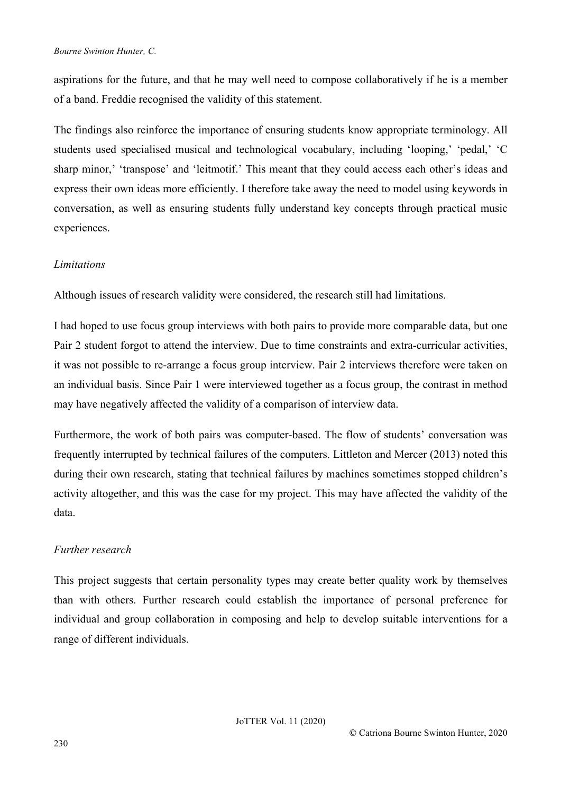#### *Bourne Swinton Hunter, C.*

aspirations for the future, and that he may well need to compose collaboratively if he is a member of a band. Freddie recognised the validity of this statement.

The findings also reinforce the importance of ensuring students know appropriate terminology. All students used specialised musical and technological vocabulary, including 'looping,' 'pedal,' 'C sharp minor,' 'transpose' and 'leitmotif.' This meant that they could access each other's ideas and express their own ideas more efficiently. I therefore take away the need to model using keywords in conversation, as well as ensuring students fully understand key concepts through practical music experiences.

## *Limitations*

Although issues of research validity were considered, the research still had limitations.

I had hoped to use focus group interviews with both pairs to provide more comparable data, but one Pair 2 student forgot to attend the interview. Due to time constraints and extra-curricular activities, it was not possible to re-arrange a focus group interview. Pair 2 interviews therefore were taken on an individual basis. Since Pair 1 were interviewed together as a focus group, the contrast in method may have negatively affected the validity of a comparison of interview data.

Furthermore, the work of both pairs was computer-based. The flow of students' conversation was frequently interrupted by technical failures of the computers. Littleton and Mercer (2013) noted this during their own research, stating that technical failures by machines sometimes stopped children's activity altogether, and this was the case for my project. This may have affected the validity of the data.

## *Further research*

This project suggests that certain personality types may create better quality work by themselves than with others. Further research could establish the importance of personal preference for individual and group collaboration in composing and help to develop suitable interventions for a range of different individuals.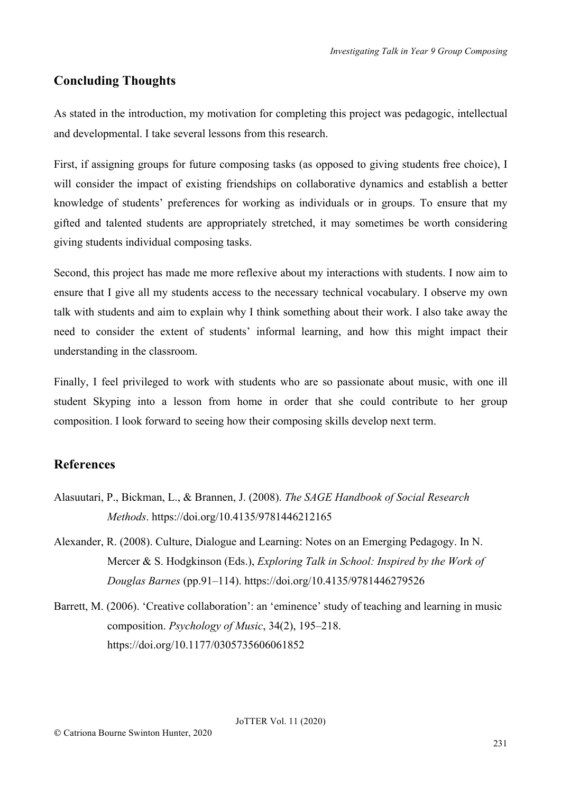## **Concluding Thoughts**

As stated in the introduction, my motivation for completing this project was pedagogic, intellectual and developmental. I take several lessons from this research.

First, if assigning groups for future composing tasks (as opposed to giving students free choice), I will consider the impact of existing friendships on collaborative dynamics and establish a better knowledge of students' preferences for working as individuals or in groups. To ensure that my gifted and talented students are appropriately stretched, it may sometimes be worth considering giving students individual composing tasks.

Second, this project has made me more reflexive about my interactions with students. I now aim to ensure that I give all my students access to the necessary technical vocabulary. I observe my own talk with students and aim to explain why I think something about their work. I also take away the need to consider the extent of students' informal learning, and how this might impact their understanding in the classroom.

Finally, I feel privileged to work with students who are so passionate about music, with one ill student Skyping into a lesson from home in order that she could contribute to her group composition. I look forward to seeing how their composing skills develop next term.

## **References**

- Alasuutari, P., Bickman, L., & Brannen, J. (2008). *The SAGE Handbook of Social Research Methods*. https://doi.org/10.4135/9781446212165
- Alexander, R. (2008). Culture, Dialogue and Learning: Notes on an Emerging Pedagogy. In N. Mercer & S. Hodgkinson (Eds.), *Exploring Talk in School: Inspired by the Work of Douglas Barnes* (pp.91–114). https://doi.org/10.4135/9781446279526
- Barrett, M. (2006). 'Creative collaboration': an 'eminence' study of teaching and learning in music composition. *Psychology of Music*, 34(2), 195–218. https://doi.org/10.1177/0305735606061852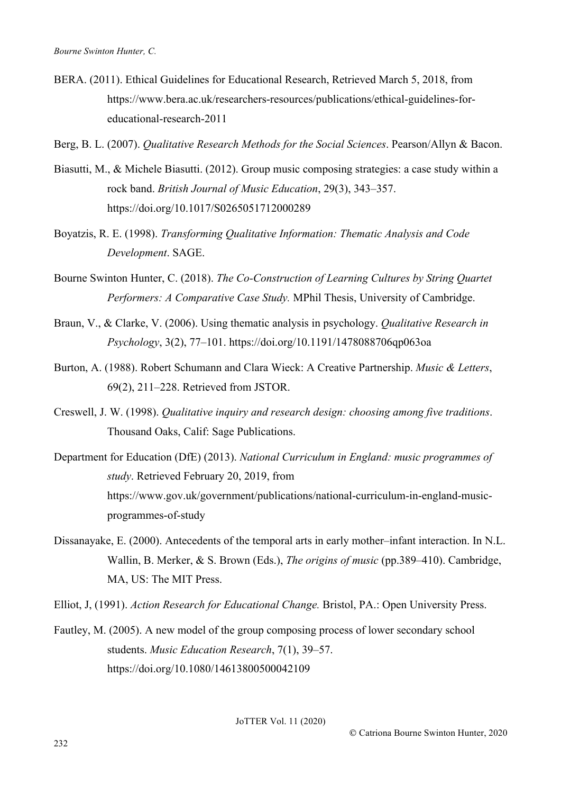- BERA. (2011). Ethical Guidelines for Educational Research, Retrieved March 5, 2018, from https://www.bera.ac.uk/researchers-resources/publications/ethical-guidelines-foreducational-research-2011
- Berg, B. L. (2007). *Qualitative Research Methods for the Social Sciences*. Pearson/Allyn & Bacon.
- Biasutti, M., & Michele Biasutti. (2012). Group music composing strategies: a case study within a rock band. *British Journal of Music Education*, 29(3), 343–357. https://doi.org/10.1017/S0265051712000289
- Boyatzis, R. E. (1998). *Transforming Qualitative Information: Thematic Analysis and Code Development*. SAGE.
- Bourne Swinton Hunter, C. (2018). *The Co-Construction of Learning Cultures by String Quartet Performers: A Comparative Case Study.* MPhil Thesis, University of Cambridge.
- Braun, V., & Clarke, V. (2006). Using thematic analysis in psychology. *Qualitative Research in Psychology*, 3(2), 77–101. https://doi.org/10.1191/1478088706qp063oa
- Burton, A. (1988). Robert Schumann and Clara Wieck: A Creative Partnership. *Music & Letters*, 69(2), 211–228. Retrieved from JSTOR.
- Creswell, J. W. (1998). *Qualitative inquiry and research design: choosing among five traditions*. Thousand Oaks, Calif: Sage Publications.
- Department for Education (DfE) (2013). *National Curriculum in England: music programmes of study*. Retrieved February 20, 2019, from https://www.gov.uk/government/publications/national-curriculum-in-england-musicprogrammes-of-study
- Dissanayake, E. (2000). Antecedents of the temporal arts in early mother–infant interaction. In N.L. Wallin, B. Merker, & S. Brown (Eds.), *The origins of music* (pp.389–410). Cambridge, MA, US: The MIT Press.
- Elliot, J, (1991). *Action Research for Educational Change.* Bristol, PA.: Open University Press.
- Fautley, M. (2005). A new model of the group composing process of lower secondary school students. *Music Education Research*, 7(1), 39–57. https://doi.org/10.1080/14613800500042109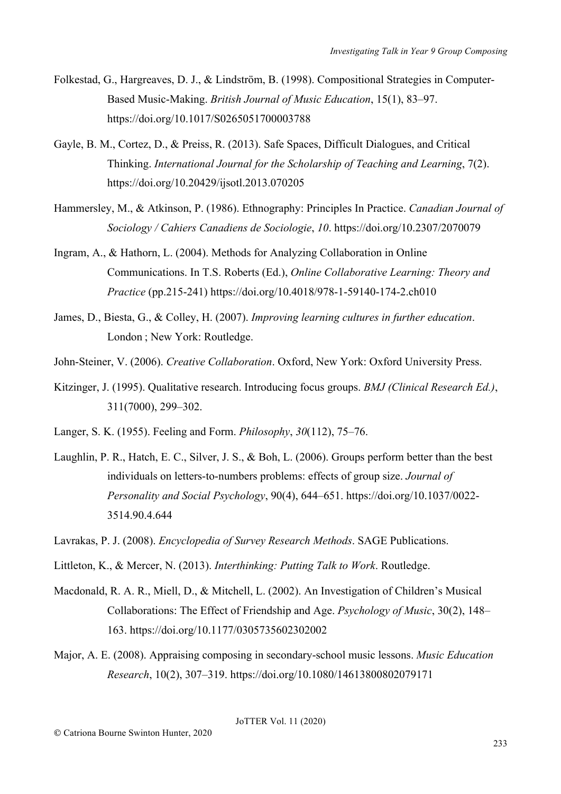- Folkestad, G., Hargreaves, D. J., & Lindström, B. (1998). Compositional Strategies in Computer-Based Music-Making. *British Journal of Music Education*, 15(1), 83–97. https://doi.org/10.1017/S0265051700003788
- Gayle, B. M., Cortez, D., & Preiss, R. (2013). Safe Spaces, Difficult Dialogues, and Critical Thinking. *International Journal for the Scholarship of Teaching and Learning*, 7(2). https://doi.org/10.20429/ijsotl.2013.070205
- Hammersley, M., & Atkinson, P. (1986). Ethnography: Principles In Practice. *Canadian Journal of Sociology / Cahiers Canadiens de Sociologie*, *10*. https://doi.org/10.2307/2070079
- Ingram, A., & Hathorn, L. (2004). Methods for Analyzing Collaboration in Online Communications. In T.S. Roberts (Ed.), *Online Collaborative Learning: Theory and Practice* (pp.215-241) https://doi.org/10.4018/978-1-59140-174-2.ch010
- James, D., Biesta, G., & Colley, H. (2007). *Improving learning cultures in further education*. London ; New York: Routledge.
- John-Steiner, V. (2006). *Creative Collaboration*. Oxford, New York: Oxford University Press.
- Kitzinger, J. (1995). Qualitative research. Introducing focus groups. *BMJ (Clinical Research Ed.)*, 311(7000), 299–302.
- Langer, S. K. (1955). Feeling and Form. *Philosophy*, *30*(112), 75–76.
- Laughlin, P. R., Hatch, E. C., Silver, J. S., & Boh, L. (2006). Groups perform better than the best individuals on letters-to-numbers problems: effects of group size. *Journal of Personality and Social Psychology*, 90(4), 644–651. https://doi.org/10.1037/0022- 3514.90.4.644
- Lavrakas, P. J. (2008). *Encyclopedia of Survey Research Methods*. SAGE Publications.
- Littleton, K., & Mercer, N. (2013). *Interthinking: Putting Talk to Work*. Routledge.
- Macdonald, R. A. R., Miell, D., & Mitchell, L. (2002). An Investigation of Children's Musical Collaborations: The Effect of Friendship and Age. *Psychology of Music*, 30(2), 148– 163. https://doi.org/10.1177/0305735602302002
- Major, A. E. (2008). Appraising composing in secondary-school music lessons. *Music Education Research*, 10(2), 307–319. https://doi.org/10.1080/14613800802079171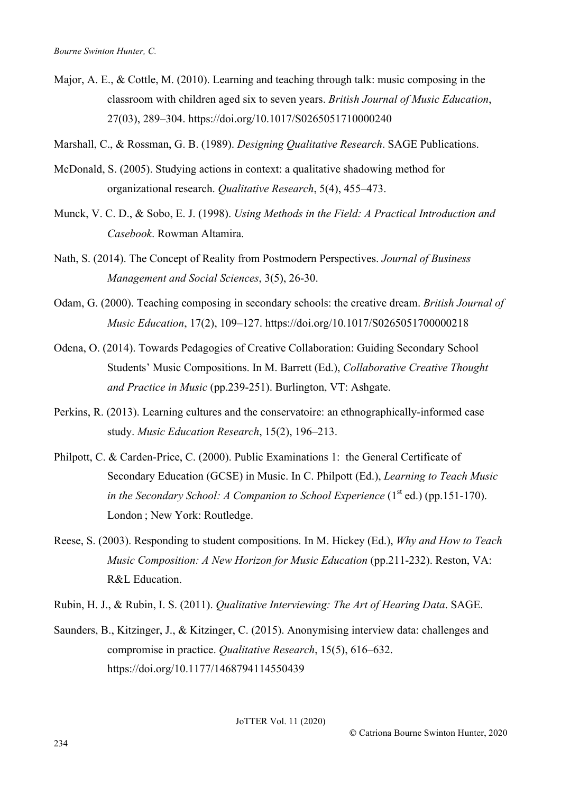- Major, A. E.,  $\&$  Cottle, M. (2010). Learning and teaching through talk: music composing in the classroom with children aged six to seven years. *British Journal of Music Education*, 27(03), 289–304. https://doi.org/10.1017/S0265051710000240
- Marshall, C., & Rossman, G. B. (1989). *Designing Qualitative Research*. SAGE Publications.
- McDonald, S. (2005). Studying actions in context: a qualitative shadowing method for organizational research. *Qualitative Research*, 5(4), 455–473.
- Munck, V. C. D., & Sobo, E. J. (1998). *Using Methods in the Field: A Practical Introduction and Casebook*. Rowman Altamira.
- Nath, S. (2014). The Concept of Reality from Postmodern Perspectives. *Journal of Business Management and Social Sciences*, 3(5), 26-30.
- Odam, G. (2000). Teaching composing in secondary schools: the creative dream. *British Journal of Music Education*, 17(2), 109–127. https://doi.org/10.1017/S0265051700000218
- Odena, O. (2014). Towards Pedagogies of Creative Collaboration: Guiding Secondary School Students' Music Compositions. In M. Barrett (Ed.), *Collaborative Creative Thought and Practice in Music* (pp.239-251). Burlington, VT: Ashgate.
- Perkins, R. (2013). Learning cultures and the conservatoire: an ethnographically-informed case study. *Music Education Research*, 15(2), 196–213.
- Philpott, C. & Carden-Price, C. (2000). Public Examinations 1: the General Certificate of Secondary Education (GCSE) in Music. In C. Philpott (Ed.), *Learning to Teach Music in the Secondary School: A Companion to School Experience*  $(1<sup>st</sup> ed.)$  (pp.151-170). London ; New York: Routledge.
- Reese, S. (2003). Responding to student compositions. In M. Hickey (Ed.), *Why and How to Teach Music Composition: A New Horizon for Music Education* (pp.211-232). Reston, VA: R&L Education.
- Rubin, H. J., & Rubin, I. S. (2011). *Qualitative Interviewing: The Art of Hearing Data*. SAGE.
- Saunders, B., Kitzinger, J., & Kitzinger, C. (2015). Anonymising interview data: challenges and compromise in practice. *Qualitative Research*, 15(5), 616–632. https://doi.org/10.1177/1468794114550439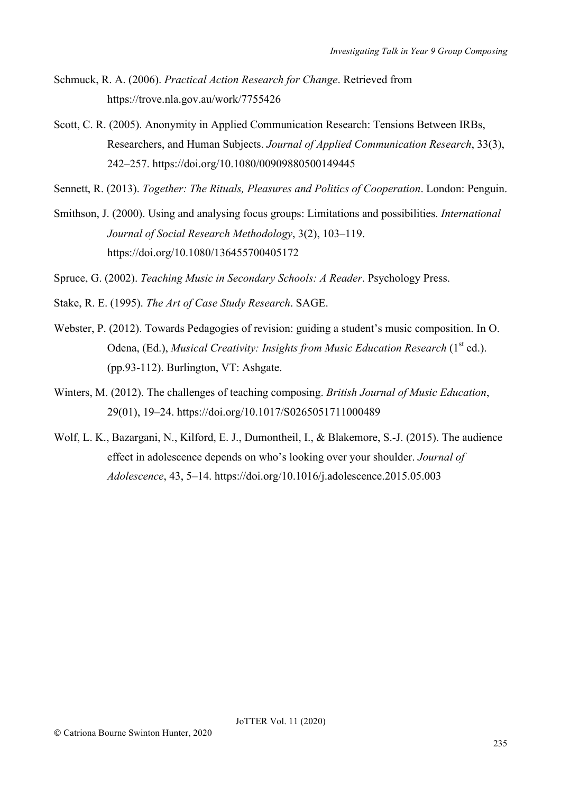- Schmuck, R. A. (2006). *Practical Action Research for Change*. Retrieved from https://trove.nla.gov.au/work/7755426
- Scott, C. R. (2005). Anonymity in Applied Communication Research: Tensions Between IRBs, Researchers, and Human Subjects. *Journal of Applied Communication Research*, 33(3), 242–257. https://doi.org/10.1080/00909880500149445

Sennett, R. (2013). *Together: The Rituals, Pleasures and Politics of Cooperation*. London: Penguin.

Smithson, J. (2000). Using and analysing focus groups: Limitations and possibilities. *International Journal of Social Research Methodology*, 3(2), 103–119. https://doi.org/10.1080/136455700405172

Spruce, G. (2002). *Teaching Music in Secondary Schools: A Reader*. Psychology Press.

- Stake, R. E. (1995). *The Art of Case Study Research*. SAGE.
- Webster, P. (2012). Towards Pedagogies of revision: guiding a student's music composition. In O. Odena, (Ed.), *Musical Creativity: Insights from Music Education Research* (1<sup>st</sup> ed.). (pp.93-112). Burlington, VT: Ashgate.
- Winters, M. (2012). The challenges of teaching composing. *British Journal of Music Education*, 29(01), 19–24. https://doi.org/10.1017/S0265051711000489
- Wolf, L. K., Bazargani, N., Kilford, E. J., Dumontheil, I., & Blakemore, S.-J. (2015). The audience effect in adolescence depends on who's looking over your shoulder. *Journal of Adolescence*, 43, 5–14. https://doi.org/10.1016/j.adolescence.2015.05.003